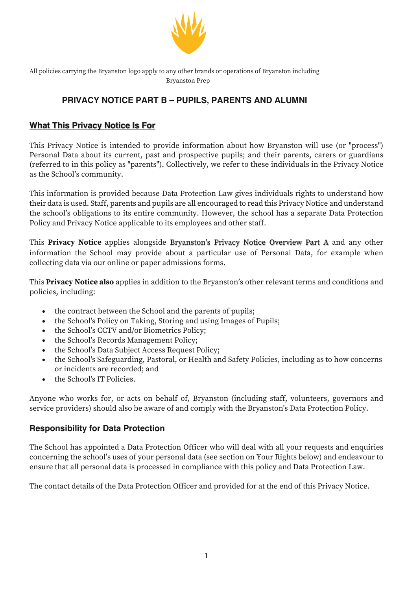

All policies carrying the Bryanston logo apply to any other brands or operations of Bryanston including Bryanston Prep

# **PRIVACY NOTICE PART B – PUPILS, PARENTS AND ALUMNI**

### **What This Privacy Notice Is For**

This Privacy Notice is intended to provide information about how Bryanston will use (or "process") Personal Data about its current, past and prospective pupils; and their parents, carers or guardians (referred to in this policy as "parents"). Collectively, we refer to these individuals in the Privacy Notice as the School's community.

This information is provided because Data Protection Law gives individuals rights to understand how their data is used. Staff, parents and pupils are all encouraged to read this Privacy Notice and understand the school's obligations to its entire community. However, the school has a separate Data Protection Policy and Privacy Notice applicable to its employees and other staff.

This **Privacy Notice** applies alongside Bryanston's Privacy Notice Overview Part A and any other information the School may provide about a particular use of Personal Data, for example when collecting data via our online or paper admissions forms.

This **Privacy Notice also** applies in addition to the Bryanston's other relevant terms and conditions and policies, including:

- the contract between the School and the parents of pupils;
- the School's Policy on Taking, Storing and using Images of Pupils;
- the School's CCTV and/or Biometrics Policy;
- the School's Records Management Policy;
- the School's Data Subject Access Request Policy;
- the School's Safeguarding, Pastoral, or Health and Safety Policies, including as to how concerns or incidents are recorded; and
- the School's IT Policies.

Anyone who works for, or acts on behalf of, Bryanston (including staff, volunteers, governors and service providers) should also be aware of and comply with the Bryanston's Data Protection Policy.

### **Responsibility for Data Protection**

The School has appointed a Data Protection Officer who will deal with all your requests and enquiries concerning the school's uses of your personal data (see section on Your Rights below) and endeavour to ensure that all personal data is processed in compliance with this policy and Data Protection Law.

The contact details of the Data Protection Officer and provided for at the end of this Privacy Notice.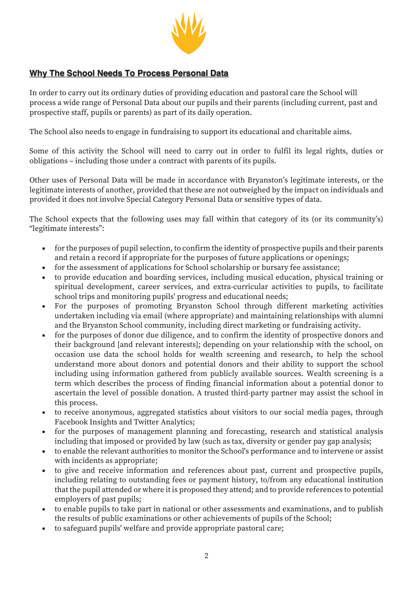

### **Why The School Needs To Process Personal Data**

In order to carry out its ordinary duties of providing education and pastoral care the School will process a wide range of Personal Data about our pupils and their parents (including current, past and prospective staff, pupils or parents) as part of its daily operation.

The School also needs to engage in fundraising to support its educational and charitable aims.

Some of this activity the School will need to carry out in order to fulfil its legal rights, duties or obligations – including those under a contract with parents of its pupils.

Other uses of Personal Data will be made in accordance with Bryanston's legitimate interests, or the legitimate interests of another, provided that these are not outweighed by the impact on individuals and provided it does not involve Special Category Personal Data or sensitive types of data.

The School expects that the following uses may fall within that category of its (or its community's) "legitimate interests":

- for the purposes of pupil selection, to confirm the identity of prospective pupils and their parents and retain a record if appropriate for the purposes of future applications or openings;
- for the assessment of applications for School scholarship or bursary fee assistance;
- to provide education and boarding services, including musical education, physical training or spiritual development, career services, and extra-curricular activities to pupils, to facilitate school trips and monitoring pupils' progress and educational needs;
- For the purposes of promoting Bryanston School through different marketing activities undertaken including via email (where appropriate) and maintaining relationships with alumni and the Bryanston School community, including direct marketing or fundraising activity.
- for the purposes of donor due diligence, and to confirm the identity of prospective donors and their background [and relevant interests]; depending on your relationship with the school, on occasion use data the school holds for wealth screening and research, to help the school understand more about donors and potential donors and their ability to support the school including using information gathered from publicly available sources. Wealth screening is a term which describes the process of finding financial information about a potential donor to ascertain the level of possible donation. A trusted third-party partner may assist the school in this process.
- to receive anonymous, aggregated statistics about visitors to our social media pages, through Facebook Insights and Twitter Analytics;
- for the purposes of management planning and forecasting, research and statistical analysis including that imposed or provided by law (such as tax, diversity or gender pay gap analysis;
- to enable the relevant authorities to monitor the School's performance and to intervene or assist with incidents as appropriate;
- to give and receive information and references about past, current and prospective pupils, including relating to outstanding fees or payment history, to/from any educational institution that the pupil attended or where it is proposed they attend; and to provide references to potential employers of past pupils;
- to enable pupils to take part in national or other assessments and examinations, and to publish the results of public examinations or other achievements of pupils of the School;
- to safeguard pupils' welfare and provide appropriate pastoral care;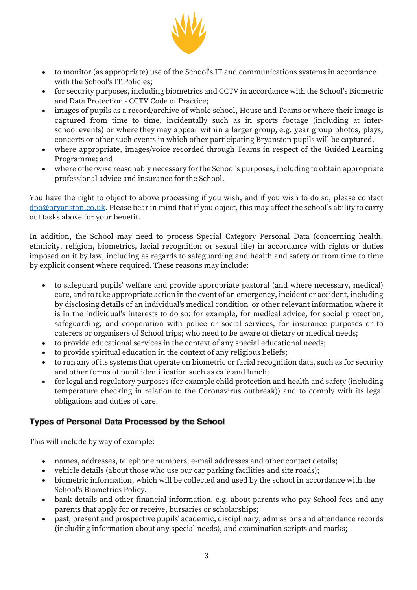

- to monitor (as appropriate) use of the School's IT and communications systems in accordance with the School's IT Policies:
- for security purposes, including biometrics and CCTV in accordance with the School's Biometric and Data Protection - CCTV Code of Practice;
- images of pupils as a record/archive of whole school, House and Teams or where their image is captured from time to time, incidentally such as in sports footage (including at interschool events) or where they may appear within a larger group, e.g. year group photos, plays, concerts or other such events in which other participating Bryanston pupils will be captured.
- where appropriate, images/voice recorded through Teams in respect of the Guided Learning Programme; and
- where otherwise reasonably necessary for the School's purposes, including to obtain appropriate professional advice and insurance for the School.

You have the right to object to above processing if you wish, and if you wish to do so, please contact dpo@bryanston.co.uk. Please bear in mind that if you object, this may affect the school's ability to carry out tasks above for your benefit.

In addition, the School may need to process Special Category Personal Data (concerning health, ethnicity, religion, biometrics, facial recognition or sexual life) in accordance with rights or duties imposed on it by law, including as regards to safeguarding and health and safety or from time to time by explicit consent where required. These reasons may include:

- to safeguard pupils' welfare and provide appropriate pastoral (and where necessary, medical) care, and to take appropriate action in the event of an emergency, incident or accident, including by disclosing details of an individual's medical condition or other relevant information where it is in the individual's interests to do so: for example, for medical advice, for social protection, safeguarding, and cooperation with police or social services, for insurance purposes or to caterers or organisers of School trips; who need to be aware of dietary or medical needs;
- to provide educational services in the context of any special educational needs;
- to provide spiritual education in the context of any religious beliefs;
- to run any of its systems that operate on biometric or facial recognition data, such as for security and other forms of pupil identification such as café and lunch;
- for legal and regulatory purposes (for example child protection and health and safety (including temperature checking in relation to the Coronavirus outbreak)) and to comply with its legal obligations and duties of care.

## **Types of Personal Data Processed by the School**

This will include by way of example:

- names, addresses, telephone numbers, e-mail addresses and other contact details;
- vehicle details (about those who use our car parking facilities and site roads);
- biometric information, which will be collected and used by the school in accordance with the School's Biometrics Policy.
- bank details and other financial information, e.g. about parents who pay School fees and any parents that apply for or receive, bursaries or scholarships;
- past, present and prospective pupils' academic, disciplinary, admissions and attendance records (including information about any special needs), and examination scripts and marks;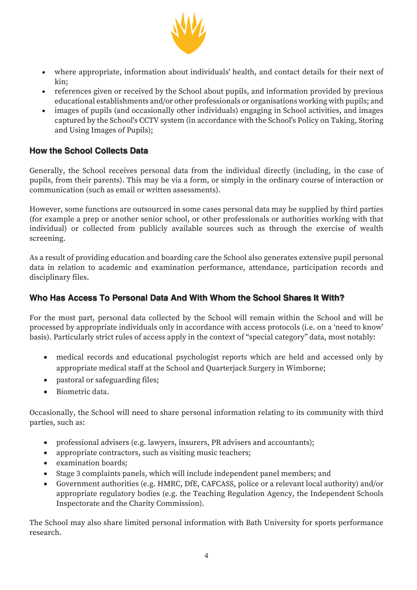

- where appropriate, information about individuals' health, and contact details for their next of kin;
- references given or received by the School about pupils, and information provided by previous educational establishments and/or other professionals or organisations working with pupils; and
- images of pupils (and occasionally other individuals) engaging in School activities, and images captured by the School's CCTV system (in accordance with the School's Policy on Taking, Storing and Using Images of Pupils);

### **How the School Collects Data**

Generally, the School receives personal data from the individual directly (including, in the case of pupils, from their parents). This may be via a form, or simply in the ordinary course of interaction or communication (such as email or written assessments).

However, some functions are outsourced in some cases personal data may be supplied by third parties (for example a prep or another senior school, or other professionals or authorities working with that individual) or collected from publicly available sources such as through the exercise of wealth screening.

As a result of providing education and boarding care the School also generates extensive pupil personal data in relation to academic and examination performance, attendance, participation records and disciplinary files.

### **Who Has Access To Personal Data And With Whom the School Shares It With?**

For the most part, personal data collected by the School will remain within the School and will be processed by appropriate individuals only in accordance with access protocols (i.e. on a 'need to know' basis). Particularly strict rules of access apply in the context of "special category" data, most notably:

- medical records and educational psychologist reports which are held and accessed only by appropriate medical staff at the School and Quarterjack Surgery in Wimborne;
- pastoral or safeguarding files;
- Biometric data.

Occasionally, the School will need to share personal information relating to its community with third parties, such as:

- professional advisers (e.g. lawyers, insurers, PR advisers and accountants);
- appropriate contractors, such as visiting music teachers;
- examination boards;
- Stage 3 complaints panels, which will include independent panel members; and
- Government authorities (e.g. HMRC, DfE, CAFCASS, police or a relevant local authority) and/or appropriate regulatory bodies (e.g. the Teaching Regulation Agency, the Independent Schools Inspectorate and the Charity Commission).

The School may also share limited personal information with Bath University for sports performance research.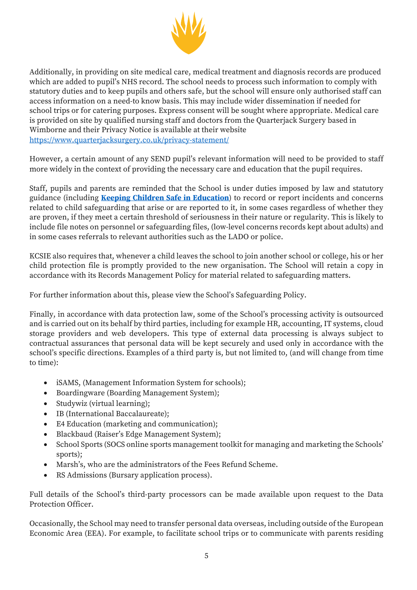

Additionally, in providing on site medical care, medical treatment and diagnosis records are produced which are added to pupil's NHS record. The school needs to process such information to comply with statutory duties and to keep pupils and others safe, but the school will ensure only authorised staff can access information on a need-to know basis. This may include wider dissemination if needed for school trips or for catering purposes. Express consent will be sought where appropriate. Medical care is provided on site by qualified nursing staff and doctors from the Quarterjack Surgery based in Wimborne and their Privacy Notice is available at their website https://www.quarterjacksurgery.co.uk/privacy-statement/

However, a certain amount of any SEND pupil's relevant information will need to be provided to staff more widely in the context of providing the necessary care and education that the pupil requires.

Staff, pupils and parents are reminded that the School is under duties imposed by law and statutory guidance (including **Keeping Children Safe in Education**) to record or report incidents and concerns related to child safeguarding that arise or are reported to it, in some cases regardless of whether they are proven, if they meet a certain threshold of seriousness in their nature or regularity. This is likely to include file notes on personnel or safeguarding files, (low-level concerns records kept about adults) and in some cases referrals to relevant authorities such as the LADO or police.

KCSIE also requires that, whenever a child leaves the school to join another school or college, his or her child protection file is promptly provided to the new organisation. The School will retain a copy in accordance with its Records Management Policy for material related to safeguarding matters.

For further information about this, please view the School's Safeguarding Policy.

Finally, in accordance with data protection law, some of the School's processing activity is outsourced and is carried out on its behalf by third parties, including for example HR, accounting, IT systems, cloud storage providers and web developers. This type of external data processing is always subject to contractual assurances that personal data will be kept securely and used only in accordance with the school's specific directions. Examples of a third party is, but not limited to, (and will change from time to time):

- iSAMS, (Management Information System for schools);
- Boardingware (Boarding Management System);
- Studywiz (virtual learning);
- IB (International Baccalaureate);
- E4 Education (marketing and communication);
- Blackbaud (Raiser's Edge Management System);
- School Sports (SOCS online sports management toolkit for managing and marketing the Schools' sports);
- Marsh's, who are the administrators of the Fees Refund Scheme.
- RS Admissions (Bursary application process).

Full details of the School's third-party processors can be made available upon request to the Data Protection Officer.

Occasionally, the School may need to transfer personal data overseas, including outside of the European Economic Area (EEA). For example, to facilitate school trips or to communicate with parents residing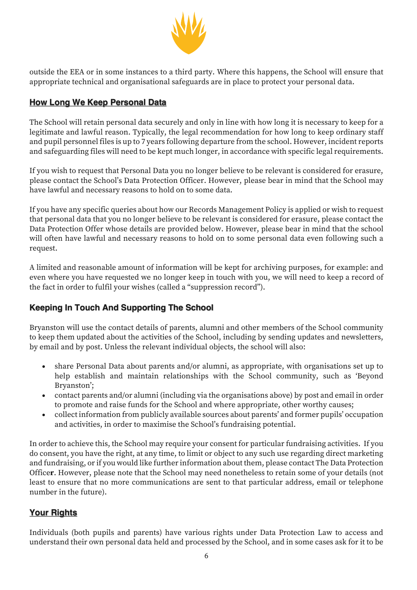

outside the EEA or in some instances to a third party. Where this happens, the School will ensure that appropriate technical and organisational safeguards are in place to protect your personal data.

### **How Long We Keep Personal Data**

The School will retain personal data securely and only in line with how long it is necessary to keep for a legitimate and lawful reason. Typically, the legal recommendation for how long to keep ordinary staff and pupil personnel files is up to 7 years following departure from the school. However, incident reports and safeguarding files will need to be kept much longer, in accordance with specific legal requirements.

If you wish to request that Personal Data you no longer believe to be relevant is considered for erasure, please contact the School's Data Protection Officer. However, please bear in mind that the School may have lawful and necessary reasons to hold on to some data.

If you have any specific queries about how our Records Management Policy is applied or wish to request that personal data that you no longer believe to be relevant is considered for erasure, please contact the Data Protection Offer whose details are provided below. However, please bear in mind that the school will often have lawful and necessary reasons to hold on to some personal data even following such a request.

A limited and reasonable amount of information will be kept for archiving purposes, for example: and even where you have requested we no longer keep in touch with you, we will need to keep a record of the fact in order to fulfil your wishes (called a "suppression record").

## **Keeping In Touch And Supporting The School**

Bryanston will use the contact details of parents, alumni and other members of the School community to keep them updated about the activities of the School, including by sending updates and newsletters, by email and by post. Unless the relevant individual objects, the school will also:

- share Personal Data about parents and/or alumni, as appropriate, with organisations set up to help establish and maintain relationships with the School community, such as 'Beyond Bryanston';
- contact parents and/or alumni (including via the organisations above) by post and email in order to promote and raise funds for the School and where appropriate, other worthy causes;
- collect information from publicly available sources about parents' and former pupils' occupation and activities, in order to maximise the School's fundraising potential.

In order to achieve this, the School may require your consent for particular fundraising activities. If you do consent, you have the right, at any time, to limit or object to any such use regarding direct marketing and fundraising, or if you would like further information about them, please contact The Data Protection Office**r**. However, please note that the School may need nonetheless to retain some of your details (not least to ensure that no more communications are sent to that particular address, email or telephone number in the future).

## **Your Rights**

Individuals (both pupils and parents) have various rights under Data Protection Law to access and understand their own personal data held and processed by the School, and in some cases ask for it to be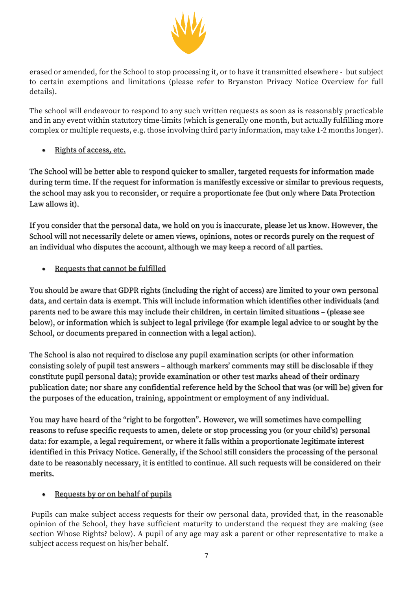

erased or amended, for the School to stop processing it, or to have it transmitted elsewhere - but subject to certain exemptions and limitations (please refer to Bryanston Privacy Notice Overview for full details).

The school will endeavour to respond to any such written requests as soon as is reasonably practicable and in any event within statutory time-limits (which is generally one month, but actually fulfilling more complex or multiple requests, e.g. those involving third party information, may take 1-2 months longer).

• Rights of access, etc.

The School will be better able to respond quicker to smaller, targeted requests for information made during term time. If the request for information is manifestly excessive or similar to previous requests, the school may ask you to reconsider, or require a proportionate fee (but only where Data Protection Law allows it).

If you consider that the personal data, we hold on you is inaccurate, please let us know. However, the School will not necessarily delete or amen views, opinions, notes or records purely on the request of an individual who disputes the account, although we may keep a record of all parties.

Requests that cannot be fulfilled

You should be aware that GDPR rights (including the right of access) are limited to your own personal data, and certain data is exempt. This will include information which identifies other individuals (and parents ned to be aware this may include their children, in certain limited situations – (please see below), or information which is subject to legal privilege (for example legal advice to or sought by the School, or documents prepared in connection with a legal action).

The School is also not required to disclose any pupil examination scripts (or other information consisting solely of pupil test answers – although markers' comments may still be disclosable if they constitute pupil personal data); provide examination or other test marks ahead of their ordinary publication date; nor share any confidential reference held by the School that was (or will be) given for the purposes of the education, training, appointment or employment of any individual.

You may have heard of the "right to be forgotten". However, we will sometimes have compelling reasons to refuse specific requests to amen, delete or stop processing you (or your child's) personal data: for example, a legal requirement, or where it falls within a proportionate legitimate interest identified in this Privacy Notice. Generally, if the School still considers the processing of the personal date to be reasonably necessary, it is entitled to continue. All such requests will be considered on their merits.

### • Requests by or on behalf of pupils

Pupils can make subject access requests for their ow personal data, provided that, in the reasonable opinion of the School, they have sufficient maturity to understand the request they are making (see section Whose Rights? below). A pupil of any age may ask a parent or other representative to make a subject access request on his/her behalf.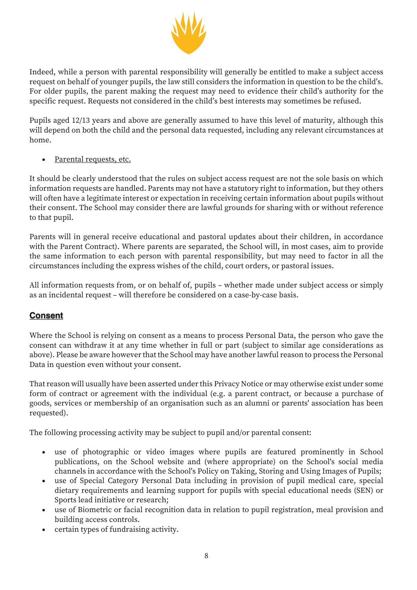

Indeed, while a person with parental responsibility will generally be entitled to make a subject access request on behalf of younger pupils, the law still considers the information in question to be the child's. For older pupils, the parent making the request may need to evidence their child's authority for the specific request. Requests not considered in the child's best interests may sometimes be refused.

Pupils aged 12/13 years and above are generally assumed to have this level of maturity, although this will depend on both the child and the personal data requested, including any relevant circumstances at home.

Parental requests, etc.

It should be clearly understood that the rules on subject access request are not the sole basis on which information requests are handled. Parents may not have a statutory right to information, but they others will often have a legitimate interest or expectation in receiving certain information about pupils without their consent. The School may consider there are lawful grounds for sharing with or without reference to that pupil.

Parents will in general receive educational and pastoral updates about their children, in accordance with the Parent Contract). Where parents are separated, the School will, in most cases, aim to provide the same information to each person with parental responsibility, but may need to factor in all the circumstances including the express wishes of the child, court orders, or pastoral issues.

All information requests from, or on behalf of, pupils – whether made under subject access or simply as an incidental request – will therefore be considered on a case-by-case basis.

### **Consent**

Where the School is relying on consent as a means to process Personal Data, the person who gave the consent can withdraw it at any time whether in full or part (subject to similar age considerations as above). Please be aware however that the School may have another lawful reason to process the Personal Data in question even without your consent.

That reason will usually have been asserted under this Privacy Notice or may otherwise exist under some form of contract or agreement with the individual (e.g. a parent contract, or because a purchase of goods, services or membership of an organisation such as an alumni or parents' association has been requested).

The following processing activity may be subject to pupil and/or parental consent:

- use of photographic or video images where pupils are featured prominently in School publications, on the School website and (where appropriate) on the School's social media channels in accordance with the School's Policy on Taking, Storing and Using Images of Pupils;
- use of Special Category Personal Data including in provision of pupil medical care, special dietary requirements and learning support for pupils with special educational needs (SEN) or Sports lead initiative or research;
- use of Biometric or facial recognition data in relation to pupil registration, meal provision and building access controls.
- certain types of fundraising activity.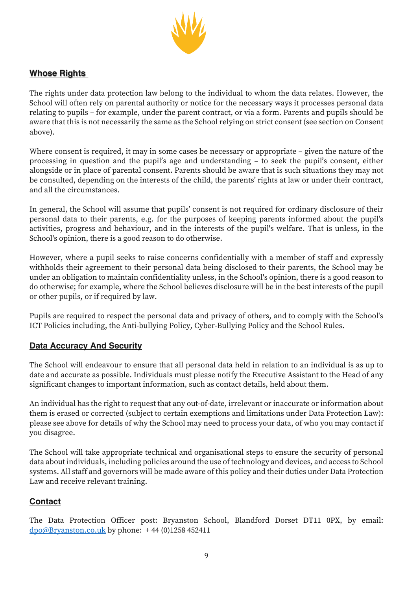

### **Whose Rights**

The rights under data protection law belong to the individual to whom the data relates. However, the School will often rely on parental authority or notice for the necessary ways it processes personal data relating to pupils – for example, under the parent contract, or via a form. Parents and pupils should be aware that this is not necessarily the same as the School relying on strict consent (see section on Consent above).

Where consent is required, it may in some cases be necessary or appropriate – given the nature of the processing in question and the pupil's age and understanding – to seek the pupil's consent, either alongside or in place of parental consent. Parents should be aware that is such situations they may not be consulted, depending on the interests of the child, the parents' rights at law or under their contract, and all the circumstances.

In general, the School will assume that pupils' consent is not required for ordinary disclosure of their personal data to their parents, e.g. for the purposes of keeping parents informed about the pupil's activities, progress and behaviour, and in the interests of the pupil's welfare. That is unless, in the School's opinion, there is a good reason to do otherwise.

However, where a pupil seeks to raise concerns confidentially with a member of staff and expressly withholds their agreement to their personal data being disclosed to their parents, the School may be under an obligation to maintain confidentiality unless, in the School's opinion, there is a good reason to do otherwise; for example, where the School believes disclosure will be in the best interests of the pupil or other pupils, or if required by law.

Pupils are required to respect the personal data and privacy of others, and to comply with the School's ICT Policies including, the Anti-bullying Policy, Cyber-Bullying Policy and the School Rules.

### **Data Accuracy And Security**

The School will endeavour to ensure that all personal data held in relation to an individual is as up to date and accurate as possible. Individuals must please notify the Executive Assistant to the Head of any significant changes to important information, such as contact details, held about them.

An individual has the right to request that any out-of-date, irrelevant or inaccurate or information about them is erased or corrected (subject to certain exemptions and limitations under Data Protection Law): please see above for details of why the School may need to process your data, of who you may contact if you disagree.

The School will take appropriate technical and organisational steps to ensure the security of personal data about individuals, including policies around the use of technology and devices, and access to School systems. All staff and governors will be made aware of this policy and their duties under Data Protection Law and receive relevant training.

#### **Contact**

The Data Protection Officer post: Bryanston School, Blandford Dorset DT11 0PX, by email:  $\frac{dpo@Brvanston.co.uk}{dbo@Brvanston.co.uk}$  by phone:  $+44(0)1258452411$